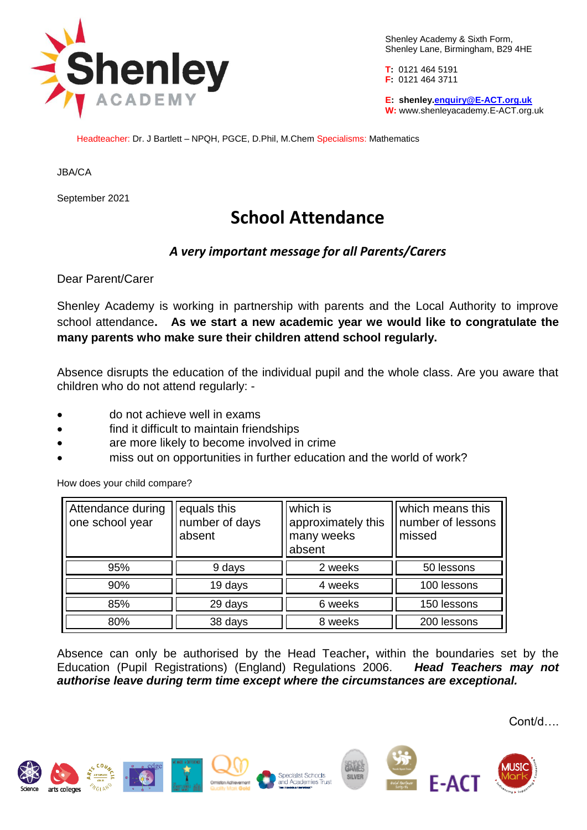

Shenley Academy & Sixth Form, Shenley Lane, Birmingham, B29 4HE

**T:** 0121 464 5191 **F:** 0121 464 3711

**E: shenley[.enquiry@E-ACT.org.uk](mailto:enquiry@E-ACT.org.uk) W:** www.shenleyacademy.E-ACT.org.uk

Headteacher: Dr. J Bartlett – NPQH, PGCE, D.Phil, M.Chem Specialisms: Mathematics

JBA/CA

September 2021

## **School Attendance**

## *A very important message for all Parents/Carers*

Dear Parent/Carer

Shenley Academy is working in partnership with parents and the Local Authority to improve school attendance**. As we start a new academic year we would like to congratulate the many parents who make sure their children attend school regularly.** 

Absence disrupts the education of the individual pupil and the whole class. Are you aware that children who do not attend regularly: -

- do not achieve well in exams
- find it difficult to maintain friendships
- are more likely to become involved in crime
- miss out on opportunities in further education and the world of work?

How does your child compare?

| Attendance during<br>one school year | equals this<br>number of days<br>absent | which is<br>approximately this<br>many weeks<br>absent | which means this<br>number of lessons<br>missed |
|--------------------------------------|-----------------------------------------|--------------------------------------------------------|-------------------------------------------------|
| 95%                                  | 9 days                                  | 2 weeks                                                | 50 lessons                                      |
| 90%                                  | 19 days                                 | 4 weeks                                                | 100 lessons                                     |
| 85%                                  | 29 days                                 | 6 weeks                                                | 150 lessons                                     |
| 80%                                  | 38 days                                 | 8 weeks                                                | 200 lessons                                     |

Absence can only be authorised by the Head Teacher**,** within the boundaries set by the Education (Pupil Registrations) (England) Regulations 2006. *Head Teachers may not authorise leave during term time except where the circumstances are exceptional.*

Cont/d….